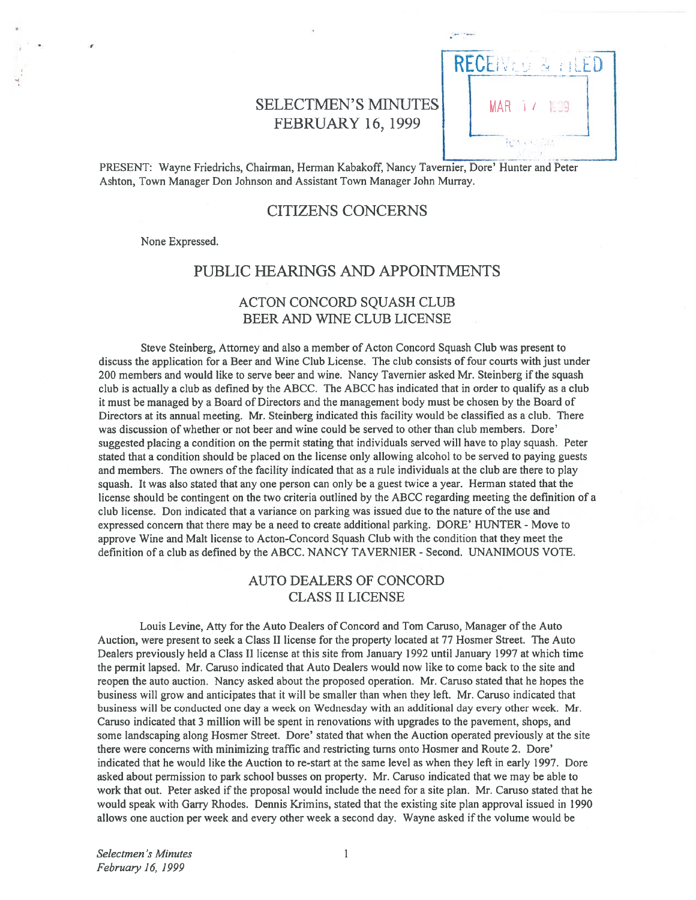# SELECTMEN'S MINUTES | MAR FEBRUARY 16, 1999



PRESENT: Wayne friedrichs, Chairman, Herman Kabakoff, Nancy Tavernier, Dore' Hunter and Peter Ashton, Town Manager Don Johnson and Assistant Town Manager John Murray.

### CITIZENS CONCERNS

None Expressed.

## PUBLIC HEARINGS AND APPOINTMENTS

## ACTON CONCORD SQUASH CLUB BEER AND WINE CLUB LICENSE

Steve Steinberg, Attorney and also <sup>a</sup> member of Acton Concord Squash Club was presen<sup>t</sup> to discuss the application for <sup>a</sup> Beer and Wine Club License. The club consists of four courts with just under 200 members and would like to serve beer and wine. Nancy Tavernier asked Mr. Steinberg if the squash club is actually <sup>a</sup> club as defined by the ABCC. The ABCC has indicated that in order to qualify as <sup>a</sup> club it must be managed by <sup>a</sup> Board of Directors and the managemen<sup>t</sup> body must be chosen by the Board of Directors at its annual meeting. Mr. Steinberg indicated this facility would be classified as <sup>a</sup> club. There was discussion of whether or not beer and wine could be served to other than club members. Dore' suggested placing <sup>a</sup> condition on the permit stating that individuals served will have to play squash. Peter stated that <sup>a</sup> condition should be placed on the license only allowing alcohol to be served to paying guests and members. The owners of the facility indicated that as <sup>a</sup> rule individuals at the club are there to play squash. It was also stated that any one person can only be <sup>a</sup> gues<sup>t</sup> twice <sup>a</sup> year. Herman stated that the license should be contingent on the two criteria outlined by the ABCC regarding meeting the definition of <sup>a</sup> club license. Don indicated that <sup>a</sup> variance on parking was issued due to the nature of the use and expressed concern that there may be a need to create additional parking. DORE' HUNTER - Move to approve Wine and Malt license to Acton-Concord Squash Club with the condition that they meet the definition of <sup>a</sup> club as defined by the ABCC. NANCY TAVERNIER - Second. UNANIMOUS VOTE.

## AUTO DEALERS Of CONCORD CLASS II LICENSE

Louis Levine, Atty for the Auto Dealers of Concord and Tom Caruso, Manager of the Auto Auction, were presen<sup>t</sup> to seek <sup>a</sup> Class II license for the property located at 77 Hosmer Street. The Auto Dealers previously held <sup>a</sup> Class II license at this site from January 1992 until January 1997 at which time the permit lapsed. Mr. Caruso indicated that Auto Dealers would now like to come back to the site and reopen the auto auction. Nancy asked about the proposed operation. Mr. Caruso stated that he hopes the business will grow and anticipates that it will be smaller than when they left. Mr. Caruso indicated that business will be conducted one day <sup>a</sup> week on Wednesday with an additional day every other week. Mr. Caruso indicated that 3 million will be spen<sup>t</sup> in renovations with upgrades to the pavement, shops, and some landscaping along Hosmer Street. Dore' stated that when the Auction operated previously at the site there were concerns with minimizing traffic and restricting turns onto Hosmer and Route 2. Dore' indicated that he would like the Auction to re-start at the same level as when they left in early 1997. Dore asked about permission to park school busses on property. Mr. Caruso indicated that we may be able to work that out. Peter asked if the proposal would include the need for <sup>a</sup> site plan. Mr. Caruso stated that he would speak with Garry Rhodes. Dennis Krimins, stated that the existing site plan approval issued in 1990 allows one auction per week and every other week <sup>a</sup> second day. Wayne asked if the volume would be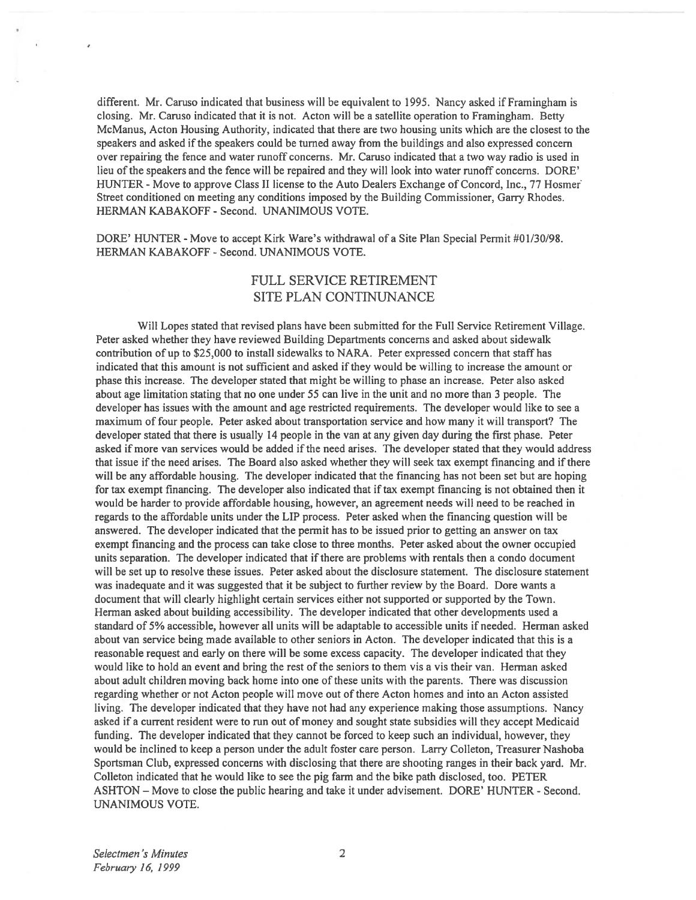different. Mr. Caruso indicated that business will be equivalent to 1995. Nancy asked if Framingham is closing. Mr. Caruso indicated that it is not. Acton will be <sup>a</sup> satellite operation to Framingham. Betty McManus, Acton Housing Authority, indicated that there are two housing units which are the closest to the speakers and asked ifthe speakers could be turned away from the buildings and also expressed concern over repairing the fence and water runoff concerns. Mr. Caruso indicated that <sup>a</sup> two way radio is used in lieu of the speakers and the fence will be repaired and they will look into water runoff concerns. DORE' HUNTER -Move to approve Class II license to the Auto Dealers Exchange of Concord, Inc., 77 Hosmer Street conditioned on meeting any conditions imposed by the Building Commissioner, Garry Rhodes. HERMAN KABAKOFF - Second. UNANIMOUS VOTE.

DORE' HUNTER - Move to accep<sup>t</sup> Kirk Ware's withdrawal of <sup>a</sup> Site Plan Special Permit #0 1/30/98. HERMAN KABAKOFF - Second. UNANIMOUS VOTE.

## FULL SERVICE RETIREMENT SITE PLAN CONTINUNANCE

Will Lopes stated that revised plans have been submitted for the Full Service Retirement Village. Peter asked whether they have reviewed Building Departments concerns and asked about sidewalk contribution of up to \$25,000 to install sidewalks to NARA. Peter expressed concern that staff has indicated that this amount is not sufficient and asked if they would be willing to increase the amount or phase this increase. The developer stated that might be willing to phase an increase. Peter also asked about age limitation stating that no one under 55 can live in the unit and no more than 3 people. The developer has issues with the amount and age restricted requirements. The developer would like to see <sup>a</sup> maximum of four people. Peter asked about transportation service and how many it will transport? The developer stated that there is usually 14 people in the van at any given day during the first phase. Peter asked if more van services would be added if the need arises. The developer stated that they would address that issue if the need arises. The Board also asked whether they will seek tax exempt financing and if there will be any affordable housing. The developer indicated that the financing has not been set but are hoping for tax exemp<sup>t</sup> financing. The developer also indicated that iftax exemp<sup>t</sup> financing is not obtained then it would be harder to provide affordable housing, however, an agreemen<sup>t</sup> needs will need to be reached in regards to the affordable units under the LIP process. Peter asked when the financing question will be answered. The developer indicated that the permit has to be issued prior to getting an answer on tax exemp<sup>t</sup> financing and the process can take close to three months. Peter asked about the owner occupied units separation. The developer indicated that if there are problems with rentals then <sup>a</sup> condo document will be set up to resolve these issues. Peter asked about the disclosure statement. The disclosure statement was inadequate and it was suggested that it be subject to further review by the Board. Dore wants <sup>a</sup> document that will clearly highlight certain services either not supported or supported by the Town. Herman asked about building accessibility. The developer indicated that other developments used <sup>a</sup> standard of 5% accessible, however all units will be adaptable to accessible units if needed. Herman asked about van service being made available to other seniors in Acton. The developer indicated that this is <sup>a</sup> reasonable reques<sup>t</sup> and early on there will be some excess capacity. The developer indicated that they would like to hold an event and bring the rest of the seniors to them vis <sup>a</sup> vis their van. Herman asked about adult children moving back home into one of these units with the parents. There was discussion regarding whether or not Acton people will move out of there Acton homes and into an Acton assisted living. The developer indicated that they have not had any experience making those assumptions. Nancy asked if <sup>a</sup> current resident were to run out of money and sought state subsidies will they accep<sup>t</sup> Medicaid funding. The developer indicated that they cannot be forced to keep such an individual, however, they would be inclined to keep <sup>a</sup> person under the adult foster care person. Larry Colleton, Treasurer Nashoba Sportsman Club, expressed concerns with disclosing that there are shooting ranges in their back yard. Mr. Colleton indicated that he would like to see the pig farm and the bike path disclosed, too. PETER ASHTON — Move to close the public hearing and take it under advisement. DORE' HUNTER - Second. UNANIMOUS VOTE.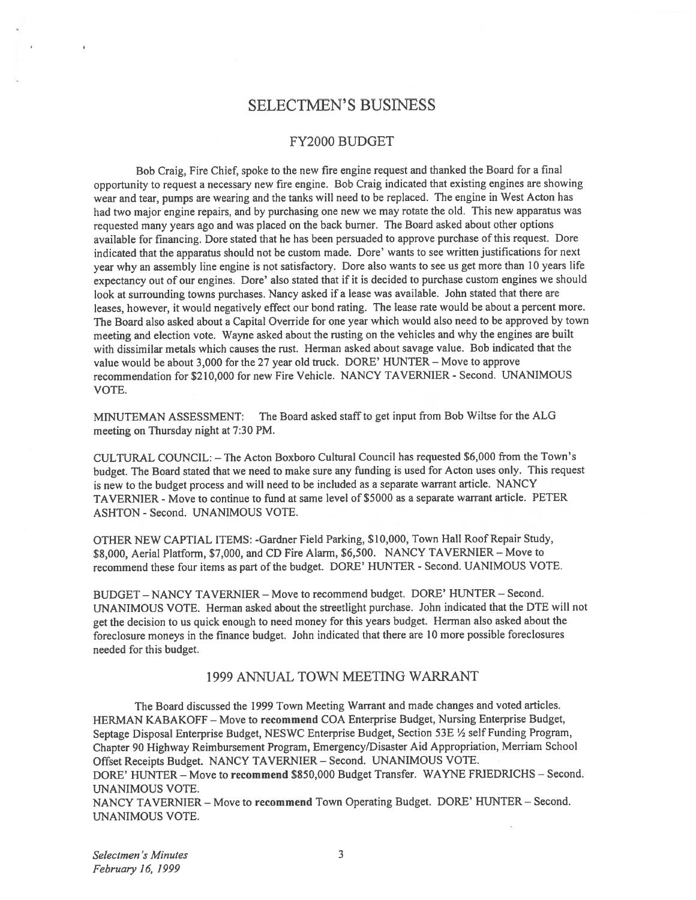## SELECTMEN'S BUSINESS

### FY2000 BUDGET

Bob Craig, Fire Chief, spoke to the new fire engine reques<sup>t</sup> and thanked the Board for <sup>a</sup> final opportunity to reques<sup>t</sup> <sup>a</sup> necessary new fire engine. Bob Craig indicated that existing engines are showing wear and tear, pumps are wearing and the tanks will need to be replaced. The engine in West Acton has had two major engine repairs, and by purchasing one new we may rotate the old. This new apparatus was requested many years ago and was <sup>p</sup>laced on the back burner. The Board asked about other options available for financing. Dore stated that he has been persuaded to approve purchase of this request. Dore indicated that the apparatus should not be custom made. Dore' wants to see written justifications for next year why an assembly line engine is not satisfactory. Dore also wants to see us ge<sup>t</sup> more than <sup>10</sup> years life expectancy out of our engines. Dore' also stated that if it is decided to purchase custom engines we should look at surrounding towns purchases. Nancy asked if <sup>a</sup> lease was available. John stated that there are leases, however, it would negatively effect our bond rating. The lease rate would be about <sup>a</sup> percen<sup>t</sup> more. The Board also asked about <sup>a</sup> Capital Override for one year which would also need to be approved by town meeting and election vote. Wayne asked about the rusting on the vehicles and why the engines are built with dissimilar metals which causes the rust. Herman asked about savage value. Bob indicated that the value would be about 3,000 for the 27 year old truck. DORE' HUNTER — Move to approve recommendation for \$210,000 for new Fire Vehicle. NANCY TAVERNIER - Second. UNANIMOUS VOTE.

MINUTEMAN ASSESSMENT: The Board asked staff to get input from Bob Wiltse for the ALG meeting on Thursday night at 7:30 PM.

CULTURAL COUNCIL: — The Acton Boxboro Cultural Council has requested \$6,000 from the Town's budget. The Board stated that we need to make sure any funding is used for Acton uses only. This reques<sup>t</sup> is new to the budget process and will need to be included as <sup>a</sup> separate warrant article. NANCY TAVERNIER - Move to continue to fund at same level of \$5000 as <sup>a</sup> separate warrant article. PETER ASHTON - Second. UNANIMOUS VOTE.

OTHER NEW CAPTIAL ITEMS: -Gardner field Parking, \$10,000, Town Hall Roof Repair Study, \$8,000, Aerial Platform, \$7,000, and CD Fire Alarm, \$6,500. NANCY TAVERNIER — Move to recommend these four items as par<sup>t</sup> of the budget. DORE' HUNTER - Second. UANIMOUS VOTE.

BUDGET - NANCY TAVERNIER - Move to recommend budget. DORE' HUNTER - Second. UNANIMOUS VOTE. Herman asked about the streetlight purchase. John indicated that the DTE will not ge<sup>t</sup> the decision to us quick enoug<sup>h</sup> to need money for this years budget. Herman also asked about the foreclosure moneys in the finance budget. John indicated that there are <sup>10</sup> more possible foreclosures needed for this budget.

### 1999 ANNUAL TOWN MEETING WARRANT

The Board discussed the 1999 Town Meeting Warrant and made changes and voted articles. HERMAN KABAKOFF — Move to recommend COA Enterprise Budget, Nursing Enterprise Budget, Septage Disposal Enterprise Budget, NESWC Enterprise Budget, Section 53E 1/2 self Funding Program, Chapter <sup>90</sup> Highway Reimbursement Program, Emergency/Disaster Aid Appropriation, Merriam School Offset Receipts Budget. NANCY TAVERNIER — Second. UNANIMOUS VOTE.

DORE' HUNTER — Move to recommend \$850,000 Budget Transfer. WAYNE FRIEDRICHS — Second. UNANIMOUS VOTE.

NANCY TAVERNIER — Move to recommend Town Operating Budget. DORE' HUNTER — Second. UNANIMOUS VOTE.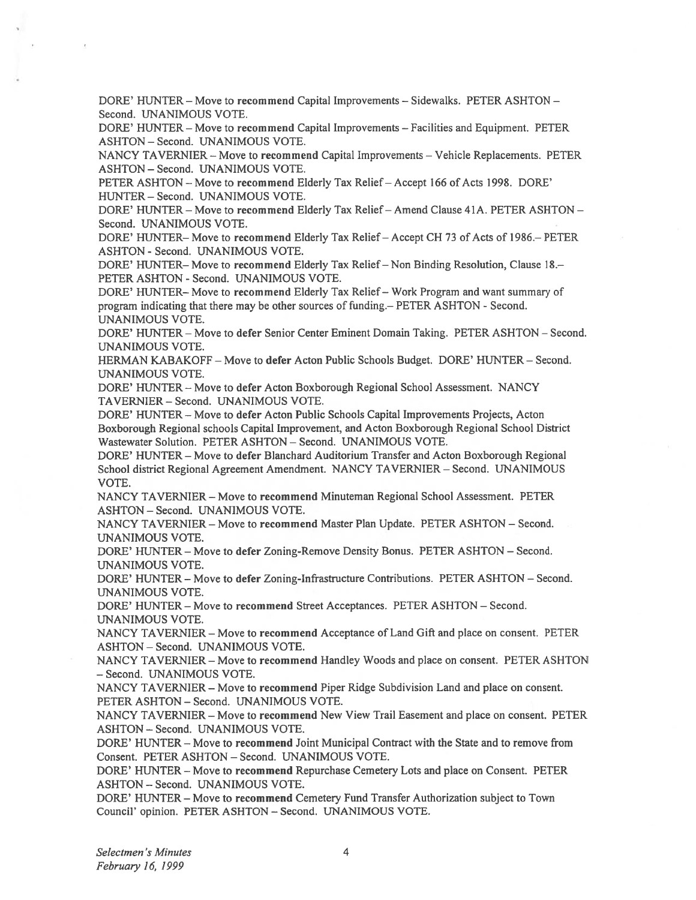DORE' HUNTER — Move to recommend Capital Improvements — Sidewalks. PETER ASHTON — Second. UNANIMOUS VOTE.

DORE' HUNTER — Move to recommend Capital Improvements — Facilities and Equipment. PETER ASHTON - Second. UNANIMOUS VOTE.

NANCY TAVERNIER — Move to recommend Capital Improvements — Vehicle Replacements. PETER ASHTON - Second. UNANIMOUS VOTE.

PETER ASHTON — Move to recommend Elderly Tax Relief— Accept 166 of Acts 1998. DORE' HUNTER - Second. UNANIMOUS VOTE.

DORE' HUNTER — Move to recommend Elderly Tax Relief— Amend Clause 41A. PETER ASHTON — Second. UNANIMOUS VOTE.

DORE' HUNTER— Move to recommend Elderly Tax Relief— Accept CR 73 of Acts of 1986.— PETER ASHTON - Second. UNANIMOUS VOTE.

DORE' HUNTER— Move to recommend Elderly Tax Relief— Non Binding Resolution, Clause 1\$.— PETER ASHTON - Second. UNANIMOUS VOTE.

DORE' HUNTER— Move to recommend Elderly Tax Relief— Work Program and want summary of program indicating that there may be other sources of funding.— PETER ASHTON - Second. UNANIMOUS VOTE.

DORE' HUNTER — Move to defer Senior Center Eminent Domain Taking. PETER ASHTON — Second. UNANIMOUS VOTE.

HERMAN KABAKOFF — Move to defer Acton Public Schools Budget. DORE' HUNTER — Second. UNANIMOUS VOTE.

DORE' HUNTER — Move to defer Acton Boxborough Regional School Assessment. NANCY TAVERNIER - Second. UNANIMOUS VOTE.

DORE' HUNTER — Move to defer Acton Public Schools Capital Improvements Projects, Acton Boxborough Regional schools Capital Improvement, and Acton Boxborough Regional School District Wastewater Solution. PETER ASHTON — Second. UNANIMOUS VOTE.

DORE' HUNTER — Move to defer Blanchard Auditorium Transfer and Acton Boxborough Regional School district Regional Agreement Amendment. NANCY TAVERNIER — Second. UNANIMOUS VOTE.

NANCY TAVERNIER — Move to recommend Minuteman Regional School Assessment. PETER ASHTON -Second. UNANIMOUS VOTE.

NANCY TAVERNIER — Move to recommend Master Plan Update. PETER ASHTON — Second. UNANIMOUS VOTE.

DORE' HUNTER — Move to defer Zoning-Remove Density Bonus. PETER ASHTON — Second. UNANIMOUS VOTE.

DORE' HUNTER — Move to defer Zoning-Infrastructure Contributions. PETER ASHTON — Second. UNANIMOUS VOTE.

DORE' HUNTER — Move to recommend Street Acceptances. PETER ASHTON — Second. UNANIMOUS VOTE.

NANCY TAVERNIER — Move to recommend Acceptance of Land Gift and place on consent. PETER ASHTON - Second. UNANIMOUS VOTE.

NANCY TAVERNIER — Move to recommend Handley Woods and place on consent. PETER ASHTON - Second. UNANIMOUS VOTE.

NANCY TAVERNIER — Move to recommend Piper Ridge Subdivision Land and place on consent. PETER ASHTON - Second. UNANIMOUS VOTE.

NANCY TAVERNIER — Move to recommend New View Trail Easement and place on consent. PETER ASHTON - Second. UNANIMOUS VOTE.

DORE' HUNTER — Move to recommend Joint Municipal Contract with the State and to remove from Consent. PETER ASHTON — Second. UNANIMOUS VOTE.

DORE' HUNTER — Move to recommend Repurchase Cemetery Lots and place on Consent. PETER ASHTON - Second. UNANIMOUS VOTE.

DORE' HUNTER — Move to recommend Cemetery Fund Transfer Authorization subject to Town Council' opinion. PETER ASHTON — Second. UNANIMOUS VOTE.